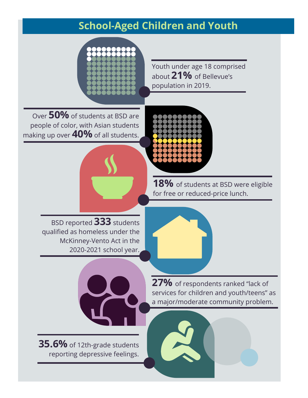### **School-Aged Children and Youth**



Youth under age 18 comprised about **21%** of Bellevue's population in 2019.

Over **50%** of students at BSD are people of color, with Asian students making up over **40%** of all students.

> 18% of students at BSD were eligible for free or reduced-price lunch.

BSD reported **333** students qualified as homeless under the McKinney-Vento Act in the 2020-2021 school year.





**35.6%** of 12th-grade students reporting depressive feelings.

**27%** of respondents ranked "lack of services for children and youth/teens" as a major/moderate community problem.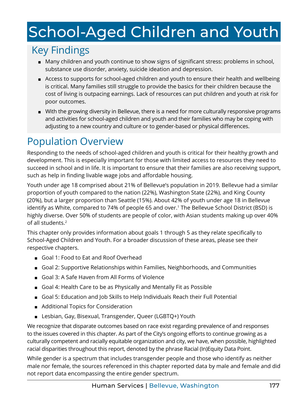# <span id="page-1-0"></span>School-Aged Children and Youth

# Key Findings

- Many children and youth continue to show signs of significant stress: problems in school, substance use disorder, anxiety, suicide ideation and depression.
- Access to supports for school-aged children and youth to ensure their health and wellbeing is critical. Many families still struggle to provide the basics for their children because the cost of living is outpacing earnings. Lack of resources can put children and youth at risk for poor outcomes.
- With the growing diversity in Bellevue, there is a need for more culturally responsive programs and activities for school-aged children and youth and their families who may be coping with adjusting to a new country and culture or to gender-based or physical differences.

### Population Overview

Responding to the needs of school-aged children and youth is critical for their healthy growth and development. This is especially important for those with limited access to resources they need to succeed in school and in life. It is important to ensure that their families are also receiving support, such as help in finding livable wage jobs and affordable housing.

Youth under age 18 comprised about 21% of Bellevue's population in 2019. Bellevue had a similar proportion of youth compared to the nation (22%), Washington State (22%), and King County (20%), but a larger proportion than Seattle (15%). About 42% of youth under age 18 in Bellevue identify as White, compared to 74% of people 65 and over.[1](#page-10-0) The Bellevue School District (BSD) is highly diverse. Over 50% of students are people of color, with Asian students making up over 40% of all students[.2](#page-10-0)

This chapter only provides information about goals 1 through 5 as they relate specifically to School-Aged Children and Youth. For a broader discussion of these areas, please see their respective chapters.

- Goal 1: Food to Eat and Roof Overhead
- Goal 2: Supportive Relationships within Families, Neighborhoods, and Communities
- Goal 3: A Safe Haven from All Forms of Violence
- Goal 4: Health Care to be as Physically and Mentally Fit as Possible
- Goal 5: Education and Job Skills to Help Individuals Reach their Full Potential
- Additional Topics for Consideration
- Lesbian, Gay, Bisexual, Transgender, Queer (LGBTQ+) Youth

We recognize that disparate outcomes based on race exist regarding prevalence of and responses to the issues covered in this chapter. As part of the City's ongoing efforts to continue growing as a culturally competent and racially equitable organization and city, we have, when possible, highlighted racial disparities throughout this report, denoted by the phrase Racial (In)Equity Data Point.

While gender is a spectrum that includes transgender people and those who identify as neither male nor female, the sources referenced in this chapter reported data by male and female and did not report data encompassing the entire gender spectrum.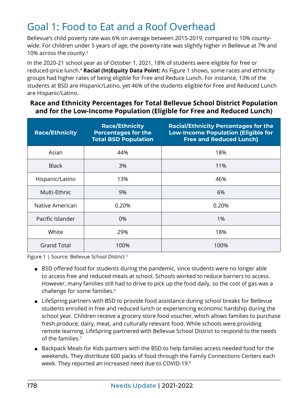### <span id="page-2-0"></span>Goal 1: Food to Eat and a Roof Overhead

Bellevue's child poverty rate was 6% on average between 2015-2019, compared to 10% countywide. For children under 5 years of age, the poverty rate was slightly higher in Bellevue at 7% and 10% across the county.[3](#page-10-0)

In the 2020-21 school year as of October 1, 2021, 18% of students were eligible for free or reduced-price lunch[.4](#page-10-0) **Racial (In)Equity Data Point:** As Figure 1 shows, some races and ethnicity groups had higher rates of being eligible for Free and Reduce Lunch. For instance, 13% of the students at BSD are Hispanic/Latino, yet 46% of the students eligible for Free and Reduced Lunch are Hispanic/Latino.

#### **Race and Ethnicity Percentages for Total Bellevue School District Population and for the Low-Income Population (Eligible for Free and Reduced Lunch)**

| <b>Race/Ethnicity</b> | <b>Race/Ethnicity</b><br><b>Percentages for the</b><br><b>Total BSD Population</b> | <b>Racial/Ethnicity Percentages for the</b><br><b>Low-Income Population (Eligible for</b><br><b>Free and Reduced Lunch)</b> |
|-----------------------|------------------------------------------------------------------------------------|-----------------------------------------------------------------------------------------------------------------------------|
| Asian                 | 44%                                                                                | 18%                                                                                                                         |
| <b>Black</b>          | 3%                                                                                 | 11%                                                                                                                         |
| Hispanic/Latino       | 13%                                                                                | 46%                                                                                                                         |
| Multi-Ethnic          | 9%                                                                                 | 6%                                                                                                                          |
| Native American       | 0.20%                                                                              | 0.20%                                                                                                                       |
| Pacific Islander      | 0%                                                                                 | 1%                                                                                                                          |
| White                 | 29%                                                                                | 18%                                                                                                                         |
| <b>Grand Total</b>    | 100%                                                                               | 100%                                                                                                                        |

Figure 1 | Source: Bellevue School District<sup>[5](#page-10-0)</sup>

- BSD offered food for students during the pandemic, since students were no longer able to access free and reduced meals at school. Schools worked to reduce barriers to access. However, many families still had to drive to pick up the food daily, so the cost of gas was a challenge for some families[.6](#page-10-0)
- LifeSpring partners with BSD to provide food assistance during school breaks for Bellevue students enrolled in free and reduced lunch or experiencing economic hardship during the school year. Children receive a grocery store food voucher, which allows families to purchase fresh produce, dairy, meat, and culturally relevant food. While schools were providing remote learning, LifeSpring partnered with Bellevue School District to respond to the needs of the families.[7](#page-10-0)
- Backpack Meals for Kids partners with the BSD to help families access needed food for the weekends. They distribute 600 packs of food through the Family Connections Centers each week. They reported an increased need due to COVID-19[.8](#page-10-0)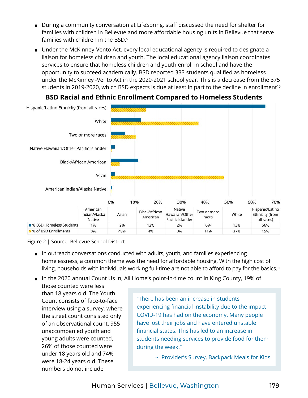- <span id="page-3-0"></span>■ During a community conversation at LifeSpring, staff discussed the need for shelter for families with children in Bellevue and more affordable housing units in Bellevue that serve families with children in the BSD[.9](#page-10-0)
- Under the McKinney-Vento Act, every local educational agency is required to designate a liaison for homeless children and youth. The local educational agency liaison coordinates services to ensure that homeless children and youth enroll in school and have the opportunity to succeed academically. BSD reported 333 students qualified as homeless under the McKinney -Vento Act in the 2020-2021 school year. This is a decrease from the 375 students in 2019-2020, which BSD expects is due at least in part to the decline in enrollment<sup>[10](#page-10-0)</sup>



#### **BSD Racial and Ethnic Enrollment Compared to Homeless Students**

Figure 2 | Source: Bellevue School District

- In outreach conversations conducted with adults, youth, and families experiencing homelessness, a common theme was the need for affordable housing. With the high cost of living, households with individuals working full-time are not able to afford to pay for the basics.<sup>[11](#page-10-0)</sup>
- In the 2020 annual Count Us In, All Home's point-in-time count in King County, 19% of

those counted were less than 18 years old. The Youth Count consists of face-to-face interview using a survey, where the street count consisted only of an observational count. 955 unaccompanied youth and young adults were counted, 26% of those counted were under 18 years old and 74% were 18-24 years old. These numbers do not include

"There has been an increase in students experiencing financial instability due to the impact COVID-19 has had on the economy. Many people have lost their jobs and have entered unstable financial states. This has led to an increase in students needing services to provide food for them during the week."

~ Provider's Survey, Backpack Meals for Kids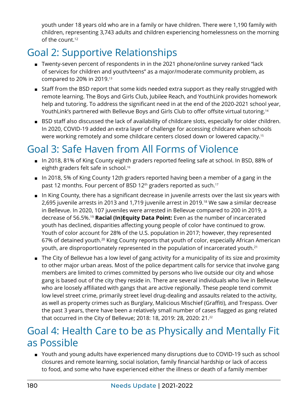<span id="page-4-0"></span>youth under 18 years old who are in a family or have children. There were 1,190 family with children, representing 3,743 adults and children experiencing homelessness on the morning of the count[.12](#page-10-0)

# Goal 2: Supportive Relationships

- Twenty-seven percent of respondents in in the 2021 phone/online survey ranked "lack of services for children and youth/teens" as a major/moderate community problem, as compared to 20% in 2019.[13](#page-10-0)
- Staff from the BSD report that some kids needed extra support as they really struggled with remote learning. The Boys and Girls Club, Jubilee Reach, and YouthLink provides homework help and tutoring. To address the significant need in at the end of the 2020-2021 school year, YouthLink's partnered with Bellevue Boys and Girls Club to offer offsite virtual tutoring.[14](#page-10-0)
- BSD staff also discussed the lack of availability of childcare slots, especially for older children. In 2020, COVID-19 added an extra layer of challenge for accessing childcare when schools were working remotely and some childcare centers closed down or lowered capacity.[15](#page-10-0)

### Goal 3: Safe Haven from All Forms of Violence

- In 2018, 81% of King County eighth graders reported feeling safe at school. In BSD, 88% of eighth graders felt safe in school.[16](#page-10-0)
- In 2018, 5% of King County 12th graders reported having been a member of a gang in the past 12 months. Four percent of BSD 12<sup>th</sup> graders reported as such.<sup>[17](#page-10-0)</sup>
- In King County, there has a significant decrease in juvenile arrests over the last six years with 2,695 juvenile arrests in 2013 and 1,719 juvenile arrest in 2019.[18](#page-10-0) We saw a similar decrease in Bellevue. In 2020, 107 juveniles were arrested in Bellevue compared to 200 in 2019, a decrease of 56.5%[.19](#page-10-0) **Racial (In)Equity Data Point:** Even as the number of incarcerated youth has declined, disparities affecting young people of color have continued to grow. Youth of color account for [28%](https://www.pewresearch.org/fact-tank/2019/07/30/most-common-age-among-us-racial-ethnic-groups/ft_19-07-11_generationsbyrace_3/) of the U.S. population in 2017; however, they represented 67% of detained youth.<sup>20</sup> King County reports that youth of color, especially African American youth, are disproportionately represented in the population of incarcerated youth[.21](#page-10-0)
- The City of Bellevue has a low level of gang activity for a municipality of its size and proximity to other major urban areas. Most of the police department calls for service that involve gang members are limited to crimes committed by persons who live outside our city and whose gang is based out of the city they reside in. There are several individuals who live in Bellevue who are loosely affiliated with gangs that are active regionally. These people tend commit low level street crime, primarily street level drug-dealing and assaults related to the activity, as well as property crimes such as Burglary, Malicious Mischief (Graffiti), and Trespass. Over the past 3 years, there have been a relatively small number of cases flagged as gang related that occurred in the City of Bellevue; 2018: 18, 2019: 28, 2020: 21[.22](#page-10-0)

#### Goal 4: Health Care to be as Physically and Mentally Fit as Possible

■ Youth and young adults have experienced many disruptions due to COVID-19 such as school closures and remote learning, social isolation, family financial hardship or lack of access to food, and some who have experienced either the illness or death of a family member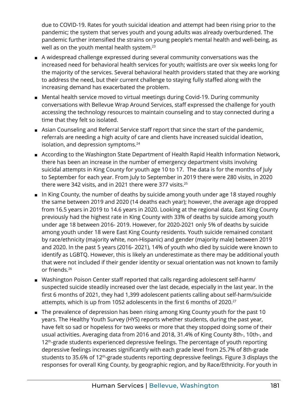<span id="page-5-0"></span>due to COVID-19. Rates for youth suicidal ideation and attempt had been rising prior to the pandemic; the system that serves youth and young adults was already overburdened. The pandemic further intensified the strains on young people's mental health and well-being, as well as on the youth mental health system.<sup>23</sup>

- A widespread challenge expressed during several community conversations was the increased need for behavioral health services for youth; waitlists are over six weeks long for the majority of the services. Several behavioral health providers stated that they are working to address the need, but their current challenge to staying fully staffed along with the increasing demand has exacerbated the problem.
- Mental health service moved to virtual meetings during Covid-19. During community conversations with Bellevue Wrap Around Services, staff expressed the challenge for youth accessing the technology resources to maintain counseling and to stay connected during a time that they felt so isolated.
- Asian Counseling and Referral Service staff report that since the start of the pandemic, referrals are needing a high acuity of care and clients have increased suicidal ideation, isolation, and depression symptoms[.24](#page-10-0)
- According to the Washington State Department of Health Rapid Health Information Network, there has been an increase in the number of emergency department visits involving suicidal attempts in King County for youth age 10 to 17. The data is for the months of July to September for each year. From July to September in 2019 there were 280 visits, in 2020 there were 342 visits, and in 2021 there were 377 visits.[25](#page-10-0)
- In King County, the number of deaths by suicide among youth under age 18 stayed roughly the same between 2019 and 2020 (14 deaths each year); however, the average age dropped from 16.5 years in 2019 to 14.6 years in 2020. Looking at the regional data, East King County previously had the highest rate in King County with 33% of deaths by suicide among youth under age 18 between 2016- 2019. However, for 2020-2021 only 5% of deaths by suicide among youth under 18 were East King County residents. Youth suicide remained constant by race/ethnicity (majority white, non-Hispanic) and gender (majority male) between 2019 and 2020. In the past 5 years (2016- 2021), 14% of youth who died by suicide were known to identify as LGBTQ. However, this is likely an underestimate as there may be additional youth that were not included if their gender identity or sexual orientation was not known to family or friends.[26](#page-11-0)
- Washington Poison Center staff reported that calls regarding adolescent self-harm/ suspected suicide steadily increased over the last decade, especially in the last year. In the first 6 months of 2021, they had 1,399 adolescent patients calling about self-harm/suicide attempts, which is up from 1052 adolescents in the first 6 months of 2020.<sup>[27](#page-11-0)</sup>
- The prevalence of depression has been rising among King County youth for the past 10 years. The Healthy Youth Survey (HYS) reports whether students, during the past year, have felt so sad or hopeless for two weeks or more that they stopped doing some of their usual activities. Averaging data from 2016 and 2018, 31.4% of King County 8th-, 10th-, and 12<sup>th</sup>-grade students experienced depressive feelings. The percentage of youth reporting depressive feelings increases significantly with each grade level from 25.7% of 8th-grade students to 35.6% of 12<sup>th</sup>-grade students reporting depressive feelings. Figure 3 displays the responses for overall King County, by geographic region, and by Race/Ethnicity. For youth in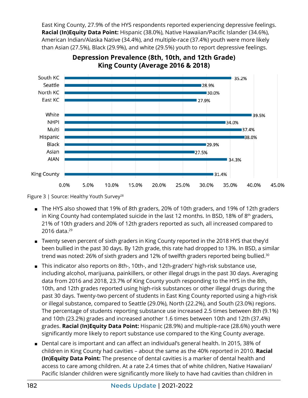<span id="page-6-0"></span>East King County, 27.9% of the HYS respondents reported experiencing depressive feelings. **Racial (In)Equity Data Point:** Hispanic (38.0%), Native Hawaiian/Pacific Islander (34.6%), American Indian/Alaska Native (34.4%), and multiple-race (37.4%) youth were more likely than Asian (27.5%), Black (29.9%), and white (29.5%) youth to report depressive feelings.



#### **Depression Prevalence (8th, 10th, and 12th Grade) King County (Average 2016 & 2018)**

- The HYS also showed that 19% of 8th graders, 20% of 10th graders, and 19% of 12th graders in King County had contemplated suicide in the last 12 months. In BSD, 18% of  $8<sup>th</sup>$  graders, 21% of 10th graders and 20% of 12th graders reported as such, all increased compared to 2016 data. $^{29}$  $^{29}$  $^{29}$
- Twenty seven percent of sixth graders in King County reported in the 2018 HYS that they'd been bullied in the past 30 days. By 12th grade, this rate had dropped to 13%. In BSD, a similar trend was noted: 26% of sixth graders and 12% of twelfth graders reported being bullied.<sup>30</sup>
- This indicator also reports on 8th-, 10th-, and 12th-graders' high-risk substance use, including alcohol, marijuana, painkillers, or other illegal drugs in the past 30 days. Averaging data from 2016 and 2018, 23.7% of King County youth responding to the HYS in the 8th, 10th, and 12th grades reported using high-risk substances or other illegal drugs during the past 30 days. Twenty-two percent of students in East King County reported using a high-risk or illegal substance, compared to Seattle (29.0%), North (22.2%), and South (23.0%) regions. The percentage of students reporting substance use increased 2.5 times between 8th (9.1%) and 10th (23.2%) grades and increased another 1.6 times between 10th and 12th (37.4%) grades. **Racial (In)Equity Data Point:** Hispanic (28.9%) and multiple-race (28.6%) youth were significantly more likely to report substance use compared to the King County average.
- Dental care is important and can affect an individual's general health. In 2015, 38% of children in King County had cavities – about the same as the 40% reported in 2010. **Racial (In)Equity Data Point:** The presence of dental cavities is a marker of dental health and access to care among children. At a rate 2.4 times that of white children, Native Hawaiian/ Pacific Islander children were significantly more likely to have had cavities than children in

Figure 3 | Source: Healthy Youth Survey<sup>28</sup>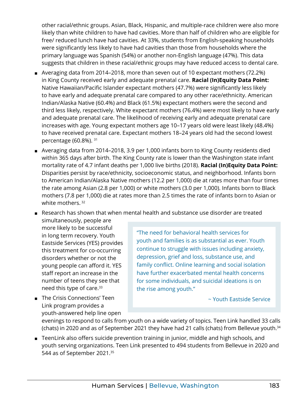<span id="page-7-0"></span>other racial/ethnic groups. Asian, Black, Hispanic, and multiple-race children were also more likely than white children to have had cavities. More than half of children who are eligible for free/ reduced lunch have had cavities. At 33%, students from English-speaking households were significantly less likely to have had cavities than those from households where the primary language was Spanish (54%) or another non-English language (47%). This data suggests that children in these racial/ethnic groups may have reduced access to dental care.

- Averaging data from 2014–2018, more than seven out of 10 expectant mothers (72.2%) in King County received early and adequate prenatal care. **Racial (In)Equity Data Point:** Native Hawaiian/Pacific Islander expectant mothers (47.7%) were significantly less likely to have early and adequate prenatal care compared to any other race/ethnicity. American Indian/Alaska Native (60.4%) and Black (61.5%) expectant mothers were the second and third less likely, respectively. White expectant mothers (76.4%) were most likely to have early and adequate prenatal care. The likelihood of receiving early and adequate prenatal care increases with age. Young expectant mothers age 10–17 years old were least likely (48.4%) to have received prenatal care. Expectant mothers 18–24 years old had the second lowest percentage (60.8%). [31](#page-11-0)
- Averaging data from 2014–2018, 3.9 per 1,000 infants born to King County residents died within 365 days after birth. The King County rate is lower than the Washington state infant mortality rate of 4.7 infant deaths per 1,000 live births (2018). **Racial (In)Equity Data Point:** Disparities persist by race/ethnicity, socioeconomic status, and neighborhood. Infants born to American Indian/Alaska Native mothers (12.2 per 1,000) die at rates more than four times the rate among Asian (2.8 per 1,000) or white mothers (3.0 per 1,000). Infants born to Black mothers (7.8 per 1,000) die at rates more than 2.5 times the rate of infants born to Asian or white mothers.<sup>[32](#page-11-0)</sup>

■ Research has shown that when mental health and substance use disorder are treated

- simultaneously, people are more likely to be successful in long term recovery. Youth Eastside Services (YES) provides this treatment for co-occurring disorders whether or not the young people can afford it. YES staff report an increase in the number of teens they see that need this type of care.[33](#page-11-0)
- The Crisis Connections' Teen Link program provides a youth-answered help line open

"The need for behavioral health services for youth and families is as substantial as ever. Youth continue to struggle with issues including anxiety, depression, grief and loss, substance use, and family conflict. Online learning and social isolation have further exacerbated mental health concerns for some individuals, and suicidal ideations is on the rise among youth."

~ Youth Eastside Service

evenings to respond to calls from youth on a wide variety of topics. Teen Link handled 33 calls (chats) in 2020 and as of September 2021 they have had 21 calls (chats) from Bellevue youth.[34](#page-11-0)

■ TeenLink also offers suicide prevention training in junior, middle and high schools, and youth serving organizations. Teen Link presented to 494 students from Bellevue in 2020 and 544 as of September 2021.<sup>[35](#page-11-0)</sup>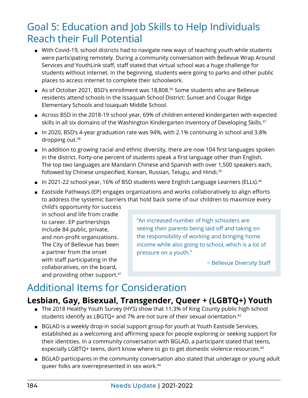#### <span id="page-8-0"></span>Goal 5: Education and Job Skills to Help Individuals Reach their Full Potential

- With Covid-19, school districts had to navigate new ways of teaching youth while students were participating remotely. During a community conversation with Bellevue Wrap Around Services and YouthLink staff, staff stated that virtual school was a huge challenge for students without internet. In the beginning, students were going to parks and other public places to access internet to complete their schoolwork.
- As of October 2021, BSD's enrollment was 18,808.<sup>36</sup> Some students who are Bellevue residents attend schools in the Issaquah School District: Sunset and Cougar Ridge Elementary Schools and Issaquah Middle School.
- Across BSD in the 2018-19 school year, 69% of children entered kindergarten with expected skills in all six domains of the Washington Kindergarten Inventory of Developing Skills.<sup>37</sup>
- In 2020, BSD's 4-year graduation rate was 94%, with 2.1% continuing in school and 3.8% dropping out.[38](#page-11-0)
- In addition to growing racial and ethnic diversity, there are now 104 first languages spoken in the district. Forty-one percent of students speak a first language other than English. The top two languages are Mandarin Chinese and Spanish with over 1,500 speakers each, followed by Chinese unspecified, Korean, Russian, Telugu, and Hindi.<sup>[39](#page-11-0)</sup>
- In 2021-22 school year, 16% of BSD students were English Language Learners (ELLs).<sup>[40](#page-11-0)</sup>
- Eastside Pathways (EP) engages organizations and works collaboratively to align efforts to address the systemic barriers that hold back some of our children to maximize every

child's opportunity for success in school and life from cradle to career. EP partnerships include 84 public, private, and non-profit organizations. The City of Bellevue has been a partner from the onset with staff participating in the collaboratives, on the board, and providing other support.<sup>41</sup>

"An increased number of high schoolers are seeing their parents being laid off and taking on the responsibility of working and bringing home income while also going to school, which is a lot of pressure on a youth."

~ Bellevue Diversity Staff

# Additional Items for Consideration

#### **Lesbian, Gay, Bisexual, Transgender, Queer + (LGBTQ+) Youth**

- The 2018 Healthy Youth Survey (HYS) show that 11.3% of King County public high school students identify as LBGTQ+ and 7% are not sure of their sexual orientation.<sup>42</sup>
- BGLAD is a weekly drop-in social support group for youth at Youth Eastside Services, established as a welcoming and affirming space for people exploring or seeking support for their identities. In a community conversation with BGLAD, a participant stated that teens, especially LGBTQ+ teens, don't know where to go to get domestic violence resources.<sup>[43](#page-11-0)</sup>
- BGLAD participants in the community conversation also stated that underage or young adult queer folks are overrepresented in sex work[.44](#page-11-0)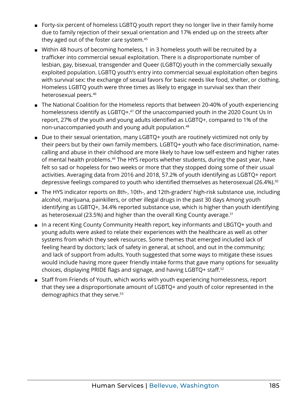- <span id="page-9-0"></span>■ [Forty-six percent](https://web.archive.org/web/20200308061602/http:/williamsinstitute.law.ucla.edu/wp-content/uploads/Durso-Gates-LGBT-Homeless-Youth-Survey-July-2012.pdf) of homeless LGBTQ youth report they no longer live in their family home due to family rejection of their sexual orientation and 17% ended up on the streets after they aged out of the foster care system[.45](#page-11-0)
- Within 48 hours of becoming homeless, 1 in 3 homeless youth will be recruited by a trafficker into commercial sexual exploitation. There is a disproportionate number of lesbian, gay, bisexual, transgender and Queer ([LGBT](https://web.archive.org/web/20151022171248/http:/www.depts.ttu.edu:80/scc/Virtual_Library/lgbtq.php)Q) youth in the commercially sexually exploited population. LGBTQ youth's entry into commercial sexual exploitation often begins with survival sex: the exchange of sexual favors for basic needs like food, shelter, or clothing. Homeless LGBTQ youth were [three times as likely](https://web.archive.org/web/20130408224958/http:/www.thetaskforce.org/downloads/HomelessYouth.pdf) to engage in survival sex than their heterosexual peers.[46](#page-11-0)
- The National Coalition for the Homeless reports that between 20-40% of youth experiencing homelessness identify as LGBTQ+.<sup>[47](#page-11-0)</sup> Of the unaccompanied youth in the 2020 Count Us In report, 27% of the youth and young adults identified as LGBTQ+, compared to 1% of the non-unaccompanied youth and young adult population[.48](#page-11-0)
- Due to their sexual orientation, many LGBTQ+ youth are routinely victimized not only by their peers but by their own family members. LGBTQ+ youth who face discrimination, namecalling and abuse in their childhood are more likely to have [low self-esteem](https://web.archive.org/web/20150913130051/http:/psychcentral.com/news/2011/05/18/victimization-of-lgbt-youth-can-be-deadly/26253.html) and higher rates of mental health problems.<sup>49</sup> The HYS reports whether students, during the past year, have felt so sad or hopeless for two weeks or more that they stopped doing some of their usual activities. Averaging data from 2016 and 2018, 57.2% of youth identifying as LGBTQ+ report depressive feelings compared to youth who identified themselves as heterosexual (26.4%).<sup>[50](#page-12-0)</sup>
- The HYS indicator reports on 8th-, 10th-, and 12th-graders' high-risk substance use, including alcohol, marijuana, painkillers, or other illegal drugs in the past 30 days Among youth identifying as LGBTQ+, 34.4% reported substance use, which is higher than youth identifying as heterosexual (23.5%) and higher than the overall King County average.<sup>[51](#page-12-0)</sup>
- In a recent King County Community Health report, key informants and LBGTQ+ youth and young adults were asked to relate their experiences with the healthcare as well as other systems from which they seek resources. Some themes that emerged included lack of feeling heard by doctors; lack of safety in general, at school, and out in the community; and lack of support from adults. Youth suggested that some ways to mitigate these issues would include having more queer friendly intake forms that gave many options for sexuality choices, displaying PRIDE flags and signage, and having LGBTQ+ staff.[52](#page-12-0)
- Staff from Friends of Youth, which works with youth experiencing homelessness, report that they see a disproportionate amount of LGBTQ+ and youth of color represented in the demographics that they serve.<sup>53</sup>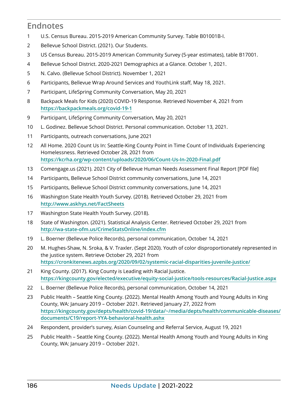#### <span id="page-10-0"></span>**Endnotes**

- U.S. Census Bureau. 2015-2019 American Community Survey. Table B01001B-I.
- Bellevue School District. (2021). Our Students.
- US Census Bureau. 2015-2019 American Community Survey (5-year estimates), table B17001.
- Bellevue School District. 2020-2021 Demographics at a Glance. October 1, 2021.
- N. Calvo. (Bellevue School District). November 1, 2021
- Participants, Bellevue Wrap Around Services and YouthLink staff, May 18, 2021.
- Participant, LifeSpring Community Conversation, May 20, 2021
- Backpack Meals for Kids (2020) COVID-19 Response. Retrieved November 4, 2021 from **[https://backpackmeals.org](https://backpackmeals.org/covid-19-1)/covid-19-1**
- Participant, LifeSpring Community Conversation, May 20, 2021
- L. Godinez. Bellevue School District. Personal communication. October 13, 2021.
- Participants, outreach conversations, June 2021
- All Home. 2020 Count Us In: Seattle-King County Point in Time Count of Individuals Experiencing Homelessness. Retrieved October 28, 2021 from **<https://kcrha.org/wp-content/uploads/2020/06/Count-Us-In-2020-Final.pdf>**
- Comengage.us (2021). 2021 City of Bellevue Human Needs Assessment Final Report [PDF file]
- Participants, Bellevue School District community conversations, June 14, 2021
- Participants, Bellevue School District community conversations, June 14, 2021
- Washington State Health Youth Survey. (2018). Retrieved October 29, 2021 from **<http://www.askhys.net/FactSheets>**
- Washington State Health Youth Survey. (2018).
- State of Washington. (2021). Statistical Analysis Center. Retrieved October 29, 2021 from **<http://wa-state-ofm.us/CrimeStatsOnline/index.cfm>**
- L. Boerner (Bellevue Police Records), personal communication, October 14, 2021
- M. Hughes-Shaw, N. Sroka, & V. Traxler. (Sept 2020). Youth of color disproportionately represented in the justice system. Retrieve October 29, 2021 from **[https://cronkitenews.azpbs.org/2020/09/02/systemic-racial-disparities-juvenile-justice](https://cronkitenews.azpbs.org/2020/09/02/systemic-racial-disparities-juvenile-justice/)/**
- King County. (2017). King County is Leading with Racial Justice. **[https://kingcounty.gov/elected/executive/equity-social-justice/tools](https://kingcounty.gov/elected/executive/equity-social-justice/tools-resources/Racial-Justice.aspx)-resources/Racial-Justice.aspx**
- L. Boerner (Bellevue Police Records), personal communication, October 14, 2021
- Public Health Seattle King County. (2022). Mental Health Among Youth and Young Adults in King County, WA: January 2019 – October 2021. Retrieved January 27, 2022 from **[https://kingcounty.gov/depts/health/covid-19/data/~/media/depts/health/communicable-diseases/](https://kingcounty.gov/depts/health/covid-19/data/~/media/depts/health/communicable-diseases/documents/C19/report-YYA-behavioral-health.ashx) [documents/C19/report-YYA-behavioral-health.ashx](https://kingcounty.gov/depts/health/covid-19/data/~/media/depts/health/communicable-diseases/documents/C19/report-YYA-behavioral-health.ashx)**
- Respondent, provider's survey, Asian Counseling and Referral Service, August 19, 2021
- Public Health Seattle King County. (2022). Mental Health Among Youth and Young Adults in King County, WA: January 2019 – October 2021.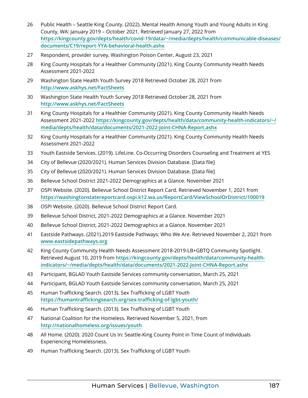- <span id="page-11-0"></span>[26](#page-5-0) Public Health – Seattle King County. (2022). Mental Health Among Youth and Young Adults in King County, WA: January 2019 – October 2021. Retrieved January 27, 2022 from **[https://kingcounty.gov/depts/health/covid-19/data/~/media/depts/health/communicable-diseases/](https://kingcounty.gov/depts/health/covid-19/data/~/media/depts/health/communicable-diseases/documents/C19/report-YYA-behavioral-health.ashx) [documents/C19/report-YYA-behavioral-health.ashx](https://kingcounty.gov/depts/health/covid-19/data/~/media/depts/health/communicable-diseases/documents/C19/report-YYA-behavioral-health.ashx)**
- [27](#page-5-0) Respondent, provider survey, Washington Poison Center, August 23, 2021
- [28](#page-6-0) King County Hospitals for a Healthier Community (2021). King County Community Health Needs Assessment 2021-2022
- [29](#page-6-0) Washington State Health Youth Survey 2018 Retrieved October 28, 2021 from **<http://www.askhys.net/FactSheets>**
- [30](#page-6-0) Washington State Health Youth Survey 2018 Retrieved October 28, 2021 from **http://[www.askhys.net/FactSheets](http://www.askhys.net/FactSheets)**
- [31](#page-7-0) King County Hospitals for a Healthier Community (2021). King County Community Health Needs Assessment 2021-2022 **[https://kingcounty.gov/depts/health/data/community-health-indicators/~/](https://kingcounty.gov/depts/health/data/community-health-indicators/~/media/depts/health/data/documents/2021-2022-Joint-CHNA-Report.ashx) media/[depts/health/data/documents/2021-2022-Joint-CHNA-Report.ashx](https://kingcounty.gov/depts/health/data/community-health-indicators/~/media/depts/health/data/documents/2021-2022-Joint-CHNA-Report.ashx)**
- [32](#page-7-0) King County Hospitals for a Healthier Community (2021). King County Community Health Needs Assessment 2021-2022
- [33](#page-7-0) Youth Eastside Services. (2019). LifeLine. Co-Occurring Disorders Counseling and Treatment at YES
- [34](#page-7-0) City of Bellevue (2020/2021). Human Services Division Database. [Data file]
- [35](#page-7-0) City of Bellevue (2020/2021). Human Services Division Database. [Data file]
- [36](#page-8-0) Bellevue School District 2021-2022 Demographics at a Glance. November 2021
- [37](#page-8-0) OSPI Website. (2020). Bellevue School District Report Card. Retrieved November 1, 2021 from **https://washingtonstatereportcard.ospi[.k12.wa.us/ReportCard/ViewSchoolOrDistrict/100019](https://washingtonstatereportcard.ospi.k12.wa.us/ReportCard/ViewSchoolOrDistrict/100019)**
- [38](#page-8-0) OSPI Website. (2020). Bellevue School District Report Card.
- [39](#page-8-0) Bellevue School District, 2021-2022 Demographics at a Glance. November 2021
- [40](#page-8-0) Bellevue School District, 2021-2022 Demographics at a Glance. November 2021
- [41](#page-8-0) Eastside Pathways. (2021).2019 Eastside Pathways: Who We Are. Retrieved November 2, 2021 from **[www.eastsidepathways.org](http://www.eastsidepathways.org)**
- [42](#page-8-0) King County Community Health Needs Assessment 2018-2019-LB+GBTQ Community Spotlight. Retrieved August 10, 2019 from **[https://kingcounty.gov/depts/health/data/community-health](https://kingcounty.gov/depts/health/data/community-health-indicators/~/media/depts/health/data/documents/2021-2022-Joint-CHNA-Report.ashx)[indicators/~/media/depts/health/data/documents/2021-2022-Joint-CHNA](https://kingcounty.gov/depts/health/data/community-health-indicators/~/media/depts/health/data/documents/2021-2022-Joint-CHNA-Report.ashx)-Report.ashx**
- [43](#page-8-0) Participant, BGLAD Youth Eastside Services community conversation, March 25, 2021
- [44](#page-8-0) Participant, BGLAD Youth Eastside Services community conversation, March 25, 2021
- [45](#page-9-0) Human Trafficking Search. (2013). Sex Trafficking of LGBT Youth **[https://humantraffickingsearch.org/sex-trafficking-of-lgbt](https://humantraffickingsearch.org/sex-trafficking-of-lgbt-youth/)-youth/**
- [46](#page-9-0) Human Trafficking Search. (2013). Sex Trafficking of LGBT Youth
- [47](#page-9-0) National Coalition for the Homeless. Retrieved November 5, 2021, from **<http://nationalhomeless.org/issues/youth>**
- [48](#page-9-0) All Home. (2020). 2020 Count Us In: Seattle-King County Point in Time Count of Individuals Experiencing Homelessness.
- [49](#page-9-0) Human Trafficking Search. (2013). Sex Trafficking of LGBT Youth